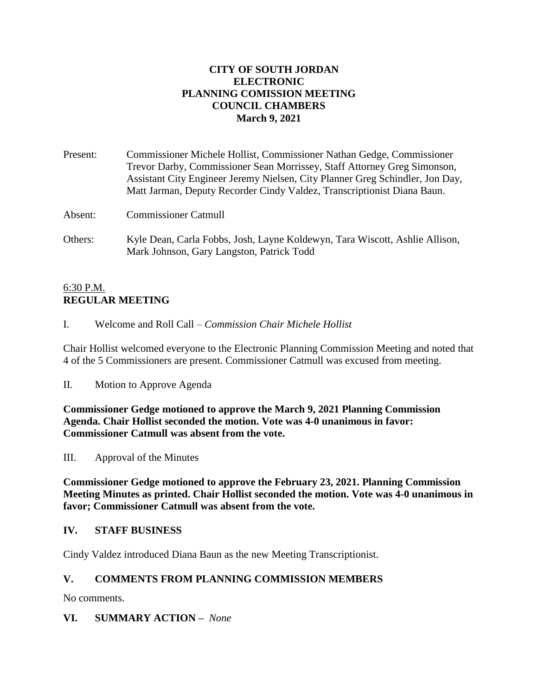### **CITY OF SOUTH JORDAN ELECTRONIC PLANNING COMISSION MEETING COUNCIL CHAMBERS March 9, 2021**

| Present: | Commissioner Michele Hollist, Commissioner Nathan Gedge, Commissioner<br>Trevor Darby, Commissioner Sean Morrissey, Staff Attorney Greg Simonson,        |
|----------|----------------------------------------------------------------------------------------------------------------------------------------------------------|
|          | Assistant City Engineer Jeremy Nielsen, City Planner Greg Schindler, Jon Day,<br>Matt Jarman, Deputy Recorder Cindy Valdez, Transcriptionist Diana Baun. |
| Absent:  | Commissioner Catmull                                                                                                                                     |

Others: Kyle Dean, Carla Fobbs, Josh, Layne Koldewyn, Tara Wiscott, Ashlie Allison, Mark Johnson, Gary Langston, Patrick Todd

### 6:30 P.M. **REGULAR MEETING**

I. Welcome and Roll Call – *Commission Chair Michele Hollist*

Chair Hollist welcomed everyone to the Electronic Planning Commission Meeting and noted that 4 of the 5 Commissioners are present. Commissioner Catmull was excused from meeting.

II. Motion to Approve Agenda

**Commissioner Gedge motioned to approve the March 9, 2021 Planning Commission Agenda. Chair Hollist seconded the motion. Vote was 4-0 unanimous in favor: Commissioner Catmull was absent from the vote.**

III. Approval of the Minutes

**Commissioner Gedge motioned to approve the February 23, 2021. Planning Commission Meeting Minutes as printed. Chair Hollist seconded the motion. Vote was 4-0 unanimous in favor; Commissioner Catmull was absent from the vote.**

## **IV. STAFF BUSINESS**

Cindy Valdez introduced Diana Baun as the new Meeting Transcriptionist.

## **V. COMMENTS FROM PLANNING COMMISSION MEMBERS**

No comments.

**VI. SUMMARY ACTION –** *None*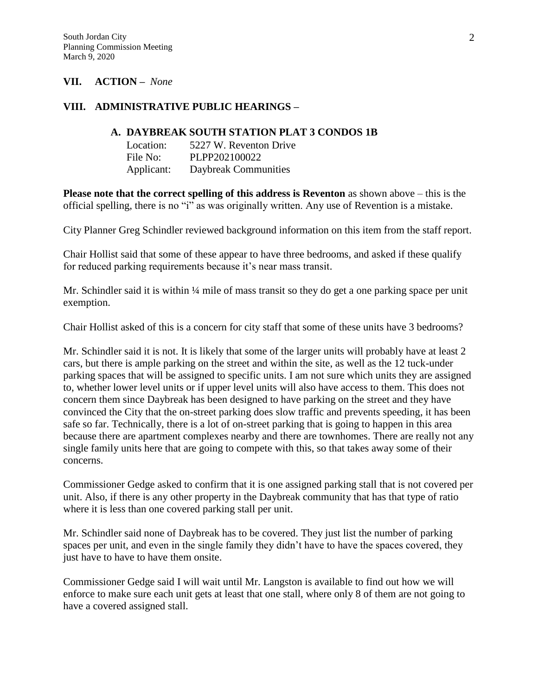#### **VII. ACTION –** *None*

#### **VIII. ADMINISTRATIVE PUBLIC HEARINGS –**

#### **A. DAYBREAK SOUTH STATION PLAT 3 CONDOS 1B**

| Location:  | 5227 W. Reventon Drive |
|------------|------------------------|
| File No:   | PLPP202100022          |
| Applicant: | Daybreak Communities   |

**Please note that the correct spelling of this address is Reventon** as shown above – this is the official spelling, there is no "i" as was originally written. Any use of Revention is a mistake.

City Planner Greg Schindler reviewed background information on this item from the staff report.

Chair Hollist said that some of these appear to have three bedrooms, and asked if these qualify for reduced parking requirements because it's near mass transit.

Mr. Schindler said it is within  $\frac{1}{4}$  mile of mass transit so they do get a one parking space per unit exemption.

Chair Hollist asked of this is a concern for city staff that some of these units have 3 bedrooms?

Mr. Schindler said it is not. It is likely that some of the larger units will probably have at least 2 cars, but there is ample parking on the street and within the site, as well as the 12 tuck-under parking spaces that will be assigned to specific units. I am not sure which units they are assigned to, whether lower level units or if upper level units will also have access to them. This does not concern them since Daybreak has been designed to have parking on the street and they have convinced the City that the on-street parking does slow traffic and prevents speeding, it has been safe so far. Technically, there is a lot of on-street parking that is going to happen in this area because there are apartment complexes nearby and there are townhomes. There are really not any single family units here that are going to compete with this, so that takes away some of their concerns.

Commissioner Gedge asked to confirm that it is one assigned parking stall that is not covered per unit. Also, if there is any other property in the Daybreak community that has that type of ratio where it is less than one covered parking stall per unit.

Mr. Schindler said none of Daybreak has to be covered. They just list the number of parking spaces per unit, and even in the single family they didn't have to have the spaces covered, they just have to have to have them onsite.

Commissioner Gedge said I will wait until Mr. Langston is available to find out how we will enforce to make sure each unit gets at least that one stall, where only 8 of them are not going to have a covered assigned stall.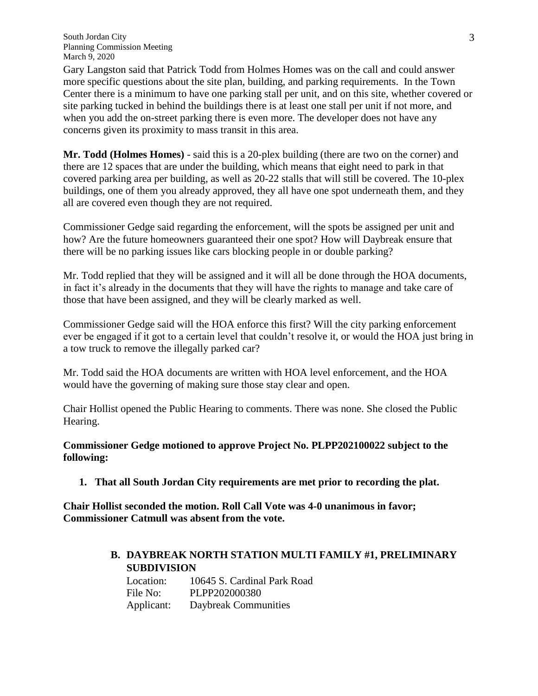Gary Langston said that Patrick Todd from Holmes Homes was on the call and could answer more specific questions about the site plan, building, and parking requirements. In the Town Center there is a minimum to have one parking stall per unit, and on this site, whether covered or site parking tucked in behind the buildings there is at least one stall per unit if not more, and when you add the on-street parking there is even more. The developer does not have any concerns given its proximity to mass transit in this area.

**Mr. Todd (Holmes Homes)** - said this is a 20-plex building (there are two on the corner) and there are 12 spaces that are under the building, which means that eight need to park in that covered parking area per building, as well as 20-22 stalls that will still be covered. The 10-plex buildings, one of them you already approved, they all have one spot underneath them, and they all are covered even though they are not required.

Commissioner Gedge said regarding the enforcement, will the spots be assigned per unit and how? Are the future homeowners guaranteed their one spot? How will Daybreak ensure that there will be no parking issues like cars blocking people in or double parking?

Mr. Todd replied that they will be assigned and it will all be done through the HOA documents, in fact it's already in the documents that they will have the rights to manage and take care of those that have been assigned, and they will be clearly marked as well.

Commissioner Gedge said will the HOA enforce this first? Will the city parking enforcement ever be engaged if it got to a certain level that couldn't resolve it, or would the HOA just bring in a tow truck to remove the illegally parked car?

Mr. Todd said the HOA documents are written with HOA level enforcement, and the HOA would have the governing of making sure those stay clear and open.

Chair Hollist opened the Public Hearing to comments. There was none. She closed the Public Hearing.

**Commissioner Gedge motioned to approve Project No. PLPP202100022 subject to the following:**

**1. That all South Jordan City requirements are met prior to recording the plat.**

**Chair Hollist seconded the motion. Roll Call Vote was 4-0 unanimous in favor; Commissioner Catmull was absent from the vote.**

> **B. DAYBREAK NORTH STATION MULTI FAMILY #1, PRELIMINARY SUBDIVISION**

Location: 10645 S. Cardinal Park Road File No: PLPP202000380 Applicant: Daybreak Communities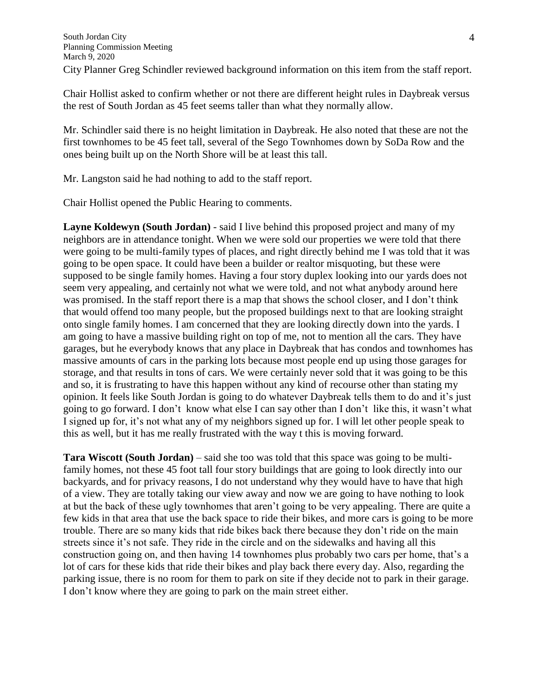Chair Hollist asked to confirm whether or not there are different height rules in Daybreak versus the rest of South Jordan as 45 feet seems taller than what they normally allow.

Mr. Schindler said there is no height limitation in Daybreak. He also noted that these are not the first townhomes to be 45 feet tall, several of the Sego Townhomes down by SoDa Row and the ones being built up on the North Shore will be at least this tall.

Mr. Langston said he had nothing to add to the staff report.

Chair Hollist opened the Public Hearing to comments.

**Layne Koldewyn (South Jordan)** - said I live behind this proposed project and many of my neighbors are in attendance tonight. When we were sold our properties we were told that there were going to be multi-family types of places, and right directly behind me I was told that it was going to be open space. It could have been a builder or realtor misquoting, but these were supposed to be single family homes. Having a four story duplex looking into our yards does not seem very appealing, and certainly not what we were told, and not what anybody around here was promised. In the staff report there is a map that shows the school closer, and I don't think that would offend too many people, but the proposed buildings next to that are looking straight onto single family homes. I am concerned that they are looking directly down into the yards. I am going to have a massive building right on top of me, not to mention all the cars. They have garages, but he everybody knows that any place in Daybreak that has condos and townhomes has massive amounts of cars in the parking lots because most people end up using those garages for storage, and that results in tons of cars. We were certainly never sold that it was going to be this and so, it is frustrating to have this happen without any kind of recourse other than stating my opinion. It feels like South Jordan is going to do whatever Daybreak tells them to do and it's just going to go forward. I don't know what else I can say other than I don't like this, it wasn't what I signed up for, it's not what any of my neighbors signed up for. I will let other people speak to this as well, but it has me really frustrated with the way t this is moving forward.

**Tara Wiscott (South Jordan)** – said she too was told that this space was going to be multifamily homes, not these 45 foot tall four story buildings that are going to look directly into our backyards, and for privacy reasons, I do not understand why they would have to have that high of a view. They are totally taking our view away and now we are going to have nothing to look at but the back of these ugly townhomes that aren't going to be very appealing. There are quite a few kids in that area that use the back space to ride their bikes, and more cars is going to be more trouble. There are so many kids that ride bikes back there because they don't ride on the main streets since it's not safe. They ride in the circle and on the sidewalks and having all this construction going on, and then having 14 townhomes plus probably two cars per home, that's a lot of cars for these kids that ride their bikes and play back there every day. Also, regarding the parking issue, there is no room for them to park on site if they decide not to park in their garage. I don't know where they are going to park on the main street either.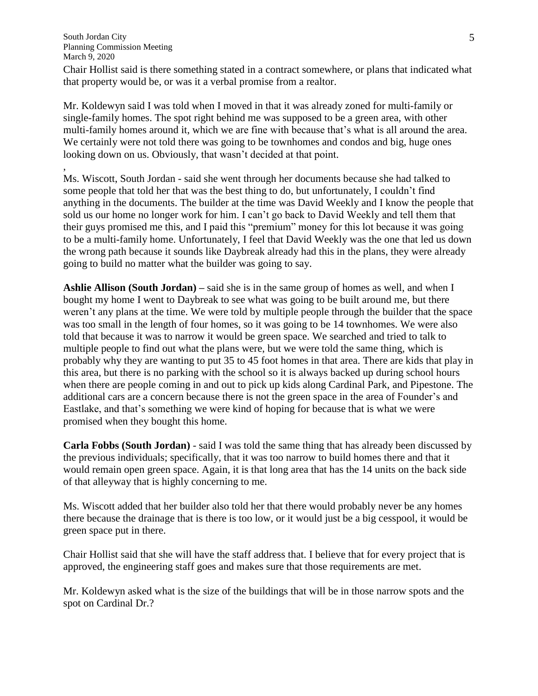,

Chair Hollist said is there something stated in a contract somewhere, or plans that indicated what that property would be, or was it a verbal promise from a realtor.

Mr. Koldewyn said I was told when I moved in that it was already zoned for multi-family or single-family homes. The spot right behind me was supposed to be a green area, with other multi-family homes around it, which we are fine with because that's what is all around the area. We certainly were not told there was going to be townhomes and condos and big, huge ones looking down on us. Obviously, that wasn't decided at that point.

Ms. Wiscott, South Jordan - said she went through her documents because she had talked to some people that told her that was the best thing to do, but unfortunately, I couldn't find anything in the documents. The builder at the time was David Weekly and I know the people that sold us our home no longer work for him. I can't go back to David Weekly and tell them that their guys promised me this, and I paid this "premium" money for this lot because it was going to be a multi-family home. Unfortunately, I feel that David Weekly was the one that led us down the wrong path because it sounds like Daybreak already had this in the plans, they were already going to build no matter what the builder was going to say.

**Ashlie Allison (South Jordan) –** said she is in the same group of homes as well, and when I bought my home I went to Daybreak to see what was going to be built around me, but there weren't any plans at the time. We were told by multiple people through the builder that the space was too small in the length of four homes, so it was going to be 14 townhomes. We were also told that because it was to narrow it would be green space. We searched and tried to talk to multiple people to find out what the plans were, but we were told the same thing, which is probably why they are wanting to put 35 to 45 foot homes in that area. There are kids that play in this area, but there is no parking with the school so it is always backed up during school hours when there are people coming in and out to pick up kids along Cardinal Park, and Pipestone. The additional cars are a concern because there is not the green space in the area of Founder's and Eastlake, and that's something we were kind of hoping for because that is what we were promised when they bought this home.

**Carla Fobbs (South Jordan)** - said I was told the same thing that has already been discussed by the previous individuals; specifically, that it was too narrow to build homes there and that it would remain open green space. Again, it is that long area that has the 14 units on the back side of that alleyway that is highly concerning to me.

Ms. Wiscott added that her builder also told her that there would probably never be any homes there because the drainage that is there is too low, or it would just be a big cesspool, it would be green space put in there.

Chair Hollist said that she will have the staff address that. I believe that for every project that is approved, the engineering staff goes and makes sure that those requirements are met.

Mr. Koldewyn asked what is the size of the buildings that will be in those narrow spots and the spot on Cardinal Dr.?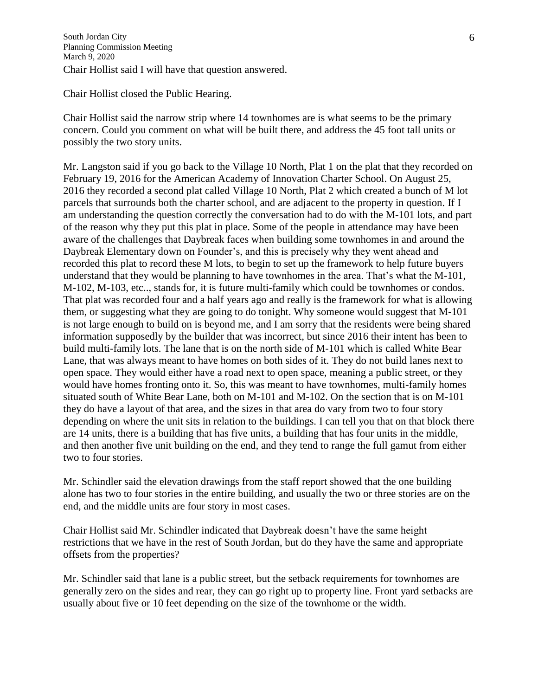Chair Hollist closed the Public Hearing.

Chair Hollist said the narrow strip where 14 townhomes are is what seems to be the primary concern. Could you comment on what will be built there, and address the 45 foot tall units or possibly the two story units.

Mr. Langston said if you go back to the Village 10 North, Plat 1 on the plat that they recorded on February 19, 2016 for the American Academy of Innovation Charter School. On August 25, 2016 they recorded a second plat called Village 10 North, Plat 2 which created a bunch of M lot parcels that surrounds both the charter school, and are adjacent to the property in question. If I am understanding the question correctly the conversation had to do with the M-101 lots, and part of the reason why they put this plat in place. Some of the people in attendance may have been aware of the challenges that Daybreak faces when building some townhomes in and around the Daybreak Elementary down on Founder's, and this is precisely why they went ahead and recorded this plat to record these M lots, to begin to set up the framework to help future buyers understand that they would be planning to have townhomes in the area. That's what the M-101, M-102, M-103, etc.., stands for, it is future multi-family which could be townhomes or condos. That plat was recorded four and a half years ago and really is the framework for what is allowing them, or suggesting what they are going to do tonight. Why someone would suggest that M-101 is not large enough to build on is beyond me, and I am sorry that the residents were being shared information supposedly by the builder that was incorrect, but since 2016 their intent has been to build multi-family lots. The lane that is on the north side of M-101 which is called White Bear Lane, that was always meant to have homes on both sides of it. They do not build lanes next to open space. They would either have a road next to open space, meaning a public street, or they would have homes fronting onto it. So, this was meant to have townhomes, multi-family homes situated south of White Bear Lane, both on M-101 and M-102. On the section that is on M-101 they do have a layout of that area, and the sizes in that area do vary from two to four story depending on where the unit sits in relation to the buildings. I can tell you that on that block there are 14 units, there is a building that has five units, a building that has four units in the middle, and then another five unit building on the end, and they tend to range the full gamut from either two to four stories.

Mr. Schindler said the elevation drawings from the staff report showed that the one building alone has two to four stories in the entire building, and usually the two or three stories are on the end, and the middle units are four story in most cases.

Chair Hollist said Mr. Schindler indicated that Daybreak doesn't have the same height restrictions that we have in the rest of South Jordan, but do they have the same and appropriate offsets from the properties?

Mr. Schindler said that lane is a public street, but the setback requirements for townhomes are generally zero on the sides and rear, they can go right up to property line. Front yard setbacks are usually about five or 10 feet depending on the size of the townhome or the width.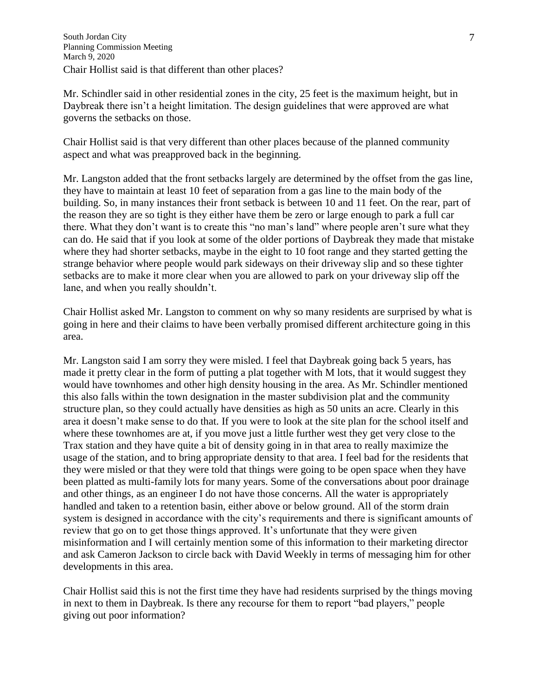Mr. Schindler said in other residential zones in the city, 25 feet is the maximum height, but in Daybreak there isn't a height limitation. The design guidelines that were approved are what governs the setbacks on those.

Chair Hollist said is that very different than other places because of the planned community aspect and what was preapproved back in the beginning.

Mr. Langston added that the front setbacks largely are determined by the offset from the gas line, they have to maintain at least 10 feet of separation from a gas line to the main body of the building. So, in many instances their front setback is between 10 and 11 feet. On the rear, part of the reason they are so tight is they either have them be zero or large enough to park a full car there. What they don't want is to create this "no man's land" where people aren't sure what they can do. He said that if you look at some of the older portions of Daybreak they made that mistake where they had shorter setbacks, maybe in the eight to 10 foot range and they started getting the strange behavior where people would park sideways on their driveway slip and so these tighter setbacks are to make it more clear when you are allowed to park on your driveway slip off the lane, and when you really shouldn't.

Chair Hollist asked Mr. Langston to comment on why so many residents are surprised by what is going in here and their claims to have been verbally promised different architecture going in this area.

Mr. Langston said I am sorry they were misled. I feel that Daybreak going back 5 years, has made it pretty clear in the form of putting a plat together with M lots, that it would suggest they would have townhomes and other high density housing in the area. As Mr. Schindler mentioned this also falls within the town designation in the master subdivision plat and the community structure plan, so they could actually have densities as high as 50 units an acre. Clearly in this area it doesn't make sense to do that. If you were to look at the site plan for the school itself and where these townhomes are at, if you move just a little further west they get very close to the Trax station and they have quite a bit of density going in in that area to really maximize the usage of the station, and to bring appropriate density to that area. I feel bad for the residents that they were misled or that they were told that things were going to be open space when they have been platted as multi-family lots for many years. Some of the conversations about poor drainage and other things, as an engineer I do not have those concerns. All the water is appropriately handled and taken to a retention basin, either above or below ground. All of the storm drain system is designed in accordance with the city's requirements and there is significant amounts of review that go on to get those things approved. It's unfortunate that they were given misinformation and I will certainly mention some of this information to their marketing director and ask Cameron Jackson to circle back with David Weekly in terms of messaging him for other developments in this area.

Chair Hollist said this is not the first time they have had residents surprised by the things moving in next to them in Daybreak. Is there any recourse for them to report "bad players," people giving out poor information?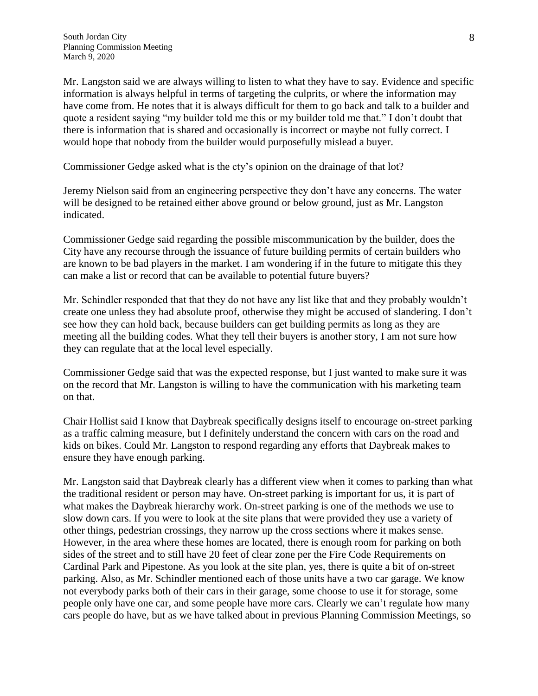Mr. Langston said we are always willing to listen to what they have to say. Evidence and specific information is always helpful in terms of targeting the culprits, or where the information may have come from. He notes that it is always difficult for them to go back and talk to a builder and quote a resident saying "my builder told me this or my builder told me that." I don't doubt that there is information that is shared and occasionally is incorrect or maybe not fully correct. I would hope that nobody from the builder would purposefully mislead a buyer.

Commissioner Gedge asked what is the cty's opinion on the drainage of that lot?

Jeremy Nielson said from an engineering perspective they don't have any concerns. The water will be designed to be retained either above ground or below ground, just as Mr. Langston indicated.

Commissioner Gedge said regarding the possible miscommunication by the builder, does the City have any recourse through the issuance of future building permits of certain builders who are known to be bad players in the market. I am wondering if in the future to mitigate this they can make a list or record that can be available to potential future buyers?

Mr. Schindler responded that that they do not have any list like that and they probably wouldn't create one unless they had absolute proof, otherwise they might be accused of slandering. I don't see how they can hold back, because builders can get building permits as long as they are meeting all the building codes. What they tell their buyers is another story, I am not sure how they can regulate that at the local level especially.

Commissioner Gedge said that was the expected response, but I just wanted to make sure it was on the record that Mr. Langston is willing to have the communication with his marketing team on that.

Chair Hollist said I know that Daybreak specifically designs itself to encourage on-street parking as a traffic calming measure, but I definitely understand the concern with cars on the road and kids on bikes. Could Mr. Langston to respond regarding any efforts that Daybreak makes to ensure they have enough parking.

Mr. Langston said that Daybreak clearly has a different view when it comes to parking than what the traditional resident or person may have. On-street parking is important for us, it is part of what makes the Daybreak hierarchy work. On-street parking is one of the methods we use to slow down cars. If you were to look at the site plans that were provided they use a variety of other things, pedestrian crossings, they narrow up the cross sections where it makes sense. However, in the area where these homes are located, there is enough room for parking on both sides of the street and to still have 20 feet of clear zone per the Fire Code Requirements on Cardinal Park and Pipestone. As you look at the site plan, yes, there is quite a bit of on-street parking. Also, as Mr. Schindler mentioned each of those units have a two car garage. We know not everybody parks both of their cars in their garage, some choose to use it for storage, some people only have one car, and some people have more cars. Clearly we can't regulate how many cars people do have, but as we have talked about in previous Planning Commission Meetings, so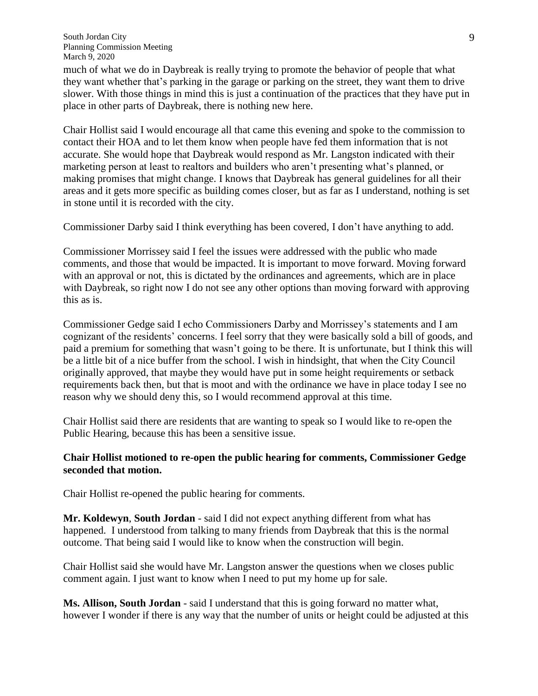much of what we do in Daybreak is really trying to promote the behavior of people that what they want whether that's parking in the garage or parking on the street, they want them to drive slower. With those things in mind this is just a continuation of the practices that they have put in place in other parts of Daybreak, there is nothing new here.

Chair Hollist said I would encourage all that came this evening and spoke to the commission to contact their HOA and to let them know when people have fed them information that is not accurate. She would hope that Daybreak would respond as Mr. Langston indicated with their marketing person at least to realtors and builders who aren't presenting what's planned, or making promises that might change. I knows that Daybreak has general guidelines for all their areas and it gets more specific as building comes closer, but as far as I understand, nothing is set in stone until it is recorded with the city.

Commissioner Darby said I think everything has been covered, I don't have anything to add.

Commissioner Morrissey said I feel the issues were addressed with the public who made comments, and those that would be impacted. It is important to move forward. Moving forward with an approval or not, this is dictated by the ordinances and agreements, which are in place with Daybreak, so right now I do not see any other options than moving forward with approving this as is.

Commissioner Gedge said I echo Commissioners Darby and Morrissey's statements and I am cognizant of the residents' concerns. I feel sorry that they were basically sold a bill of goods, and paid a premium for something that wasn't going to be there. It is unfortunate, but I think this will be a little bit of a nice buffer from the school. I wish in hindsight, that when the City Council originally approved, that maybe they would have put in some height requirements or setback requirements back then, but that is moot and with the ordinance we have in place today I see no reason why we should deny this, so I would recommend approval at this time.

Chair Hollist said there are residents that are wanting to speak so I would like to re-open the Public Hearing, because this has been a sensitive issue.

#### **Chair Hollist motioned to re-open the public hearing for comments, Commissioner Gedge seconded that motion.**

Chair Hollist re-opened the public hearing for comments.

**Mr. Koldewyn**, **South Jordan** - said I did not expect anything different from what has happened. I understood from talking to many friends from Daybreak that this is the normal outcome. That being said I would like to know when the construction will begin.

Chair Hollist said she would have Mr. Langston answer the questions when we closes public comment again. I just want to know when I need to put my home up for sale.

**Ms. Allison, South Jordan** - said I understand that this is going forward no matter what, however I wonder if there is any way that the number of units or height could be adjusted at this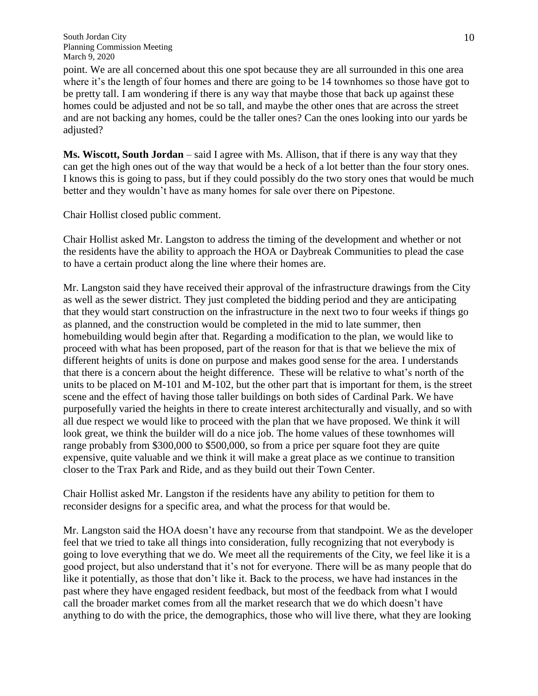point. We are all concerned about this one spot because they are all surrounded in this one area where it's the length of four homes and there are going to be 14 townhomes so those have got to be pretty tall. I am wondering if there is any way that maybe those that back up against these homes could be adjusted and not be so tall, and maybe the other ones that are across the street and are not backing any homes, could be the taller ones? Can the ones looking into our yards be adjusted?

**Ms. Wiscott, South Jordan** – said I agree with Ms. Allison, that if there is any way that they can get the high ones out of the way that would be a heck of a lot better than the four story ones. I knows this is going to pass, but if they could possibly do the two story ones that would be much better and they wouldn't have as many homes for sale over there on Pipestone.

Chair Hollist closed public comment.

Chair Hollist asked Mr. Langston to address the timing of the development and whether or not the residents have the ability to approach the HOA or Daybreak Communities to plead the case to have a certain product along the line where their homes are.

Mr. Langston said they have received their approval of the infrastructure drawings from the City as well as the sewer district. They just completed the bidding period and they are anticipating that they would start construction on the infrastructure in the next two to four weeks if things go as planned, and the construction would be completed in the mid to late summer, then homebuilding would begin after that. Regarding a modification to the plan, we would like to proceed with what has been proposed, part of the reason for that is that we believe the mix of different heights of units is done on purpose and makes good sense for the area. I understands that there is a concern about the height difference. These will be relative to what's north of the units to be placed on M-101 and M-102, but the other part that is important for them, is the street scene and the effect of having those taller buildings on both sides of Cardinal Park. We have purposefully varied the heights in there to create interest architecturally and visually, and so with all due respect we would like to proceed with the plan that we have proposed. We think it will look great, we think the builder will do a nice job. The home values of these townhomes will range probably from \$300,000 to \$500,000, so from a price per square foot they are quite expensive, quite valuable and we think it will make a great place as we continue to transition closer to the Trax Park and Ride, and as they build out their Town Center.

Chair Hollist asked Mr. Langston if the residents have any ability to petition for them to reconsider designs for a specific area, and what the process for that would be.

Mr. Langston said the HOA doesn't have any recourse from that standpoint. We as the developer feel that we tried to take all things into consideration, fully recognizing that not everybody is going to love everything that we do. We meet all the requirements of the City, we feel like it is a good project, but also understand that it's not for everyone. There will be as many people that do like it potentially, as those that don't like it. Back to the process, we have had instances in the past where they have engaged resident feedback, but most of the feedback from what I would call the broader market comes from all the market research that we do which doesn't have anything to do with the price, the demographics, those who will live there, what they are looking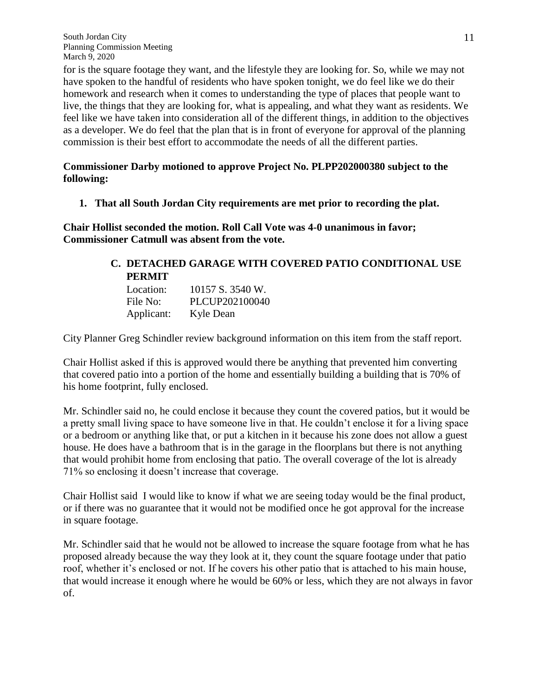for is the square footage they want, and the lifestyle they are looking for. So, while we may not have spoken to the handful of residents who have spoken tonight, we do feel like we do their homework and research when it comes to understanding the type of places that people want to live, the things that they are looking for, what is appealing, and what they want as residents. We feel like we have taken into consideration all of the different things, in addition to the objectives as a developer. We do feel that the plan that is in front of everyone for approval of the planning commission is their best effort to accommodate the needs of all the different parties.

## **Commissioner Darby motioned to approve Project No. PLPP202000380 subject to the following:**

**1. That all South Jordan City requirements are met prior to recording the plat.**

**Chair Hollist seconded the motion. Roll Call Vote was 4-0 unanimous in favor; Commissioner Catmull was absent from the vote.**

# **C. DETACHED GARAGE WITH COVERED PATIO CONDITIONAL USE PERMIT**

| Location:  | 10157 S. 3540 W. |
|------------|------------------|
| File No:   | PLCUP202100040   |
| Applicant: | Kyle Dean        |

City Planner Greg Schindler review background information on this item from the staff report.

Chair Hollist asked if this is approved would there be anything that prevented him converting that covered patio into a portion of the home and essentially building a building that is 70% of his home footprint, fully enclosed.

Mr. Schindler said no, he could enclose it because they count the covered patios, but it would be a pretty small living space to have someone live in that. He couldn't enclose it for a living space or a bedroom or anything like that, or put a kitchen in it because his zone does not allow a guest house. He does have a bathroom that is in the garage in the floorplans but there is not anything that would prohibit home from enclosing that patio. The overall coverage of the lot is already 71% so enclosing it doesn't increase that coverage.

Chair Hollist said I would like to know if what we are seeing today would be the final product, or if there was no guarantee that it would not be modified once he got approval for the increase in square footage.

Mr. Schindler said that he would not be allowed to increase the square footage from what he has proposed already because the way they look at it, they count the square footage under that patio roof, whether it's enclosed or not. If he covers his other patio that is attached to his main house, that would increase it enough where he would be 60% or less, which they are not always in favor of.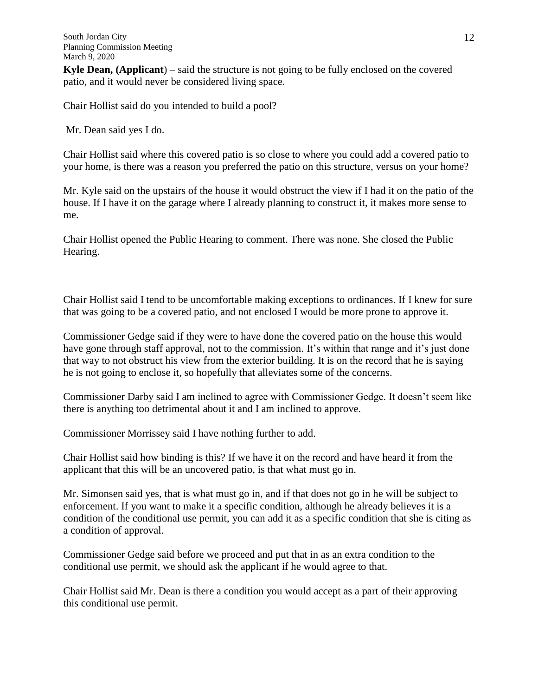**Kyle Dean, (Applicant**) – said the structure is not going to be fully enclosed on the covered patio, and it would never be considered living space.

Chair Hollist said do you intended to build a pool?

Mr. Dean said yes I do.

Chair Hollist said where this covered patio is so close to where you could add a covered patio to your home, is there was a reason you preferred the patio on this structure, versus on your home?

Mr. Kyle said on the upstairs of the house it would obstruct the view if I had it on the patio of the house. If I have it on the garage where I already planning to construct it, it makes more sense to me.

Chair Hollist opened the Public Hearing to comment. There was none. She closed the Public Hearing.

Chair Hollist said I tend to be uncomfortable making exceptions to ordinances. If I knew for sure that was going to be a covered patio, and not enclosed I would be more prone to approve it.

Commissioner Gedge said if they were to have done the covered patio on the house this would have gone through staff approval, not to the commission. It's within that range and it's just done that way to not obstruct his view from the exterior building. It is on the record that he is saying he is not going to enclose it, so hopefully that alleviates some of the concerns.

Commissioner Darby said I am inclined to agree with Commissioner Gedge. It doesn't seem like there is anything too detrimental about it and I am inclined to approve.

Commissioner Morrissey said I have nothing further to add.

Chair Hollist said how binding is this? If we have it on the record and have heard it from the applicant that this will be an uncovered patio, is that what must go in.

Mr. Simonsen said yes, that is what must go in, and if that does not go in he will be subject to enforcement. If you want to make it a specific condition, although he already believes it is a condition of the conditional use permit, you can add it as a specific condition that she is citing as a condition of approval.

Commissioner Gedge said before we proceed and put that in as an extra condition to the conditional use permit, we should ask the applicant if he would agree to that.

Chair Hollist said Mr. Dean is there a condition you would accept as a part of their approving this conditional use permit.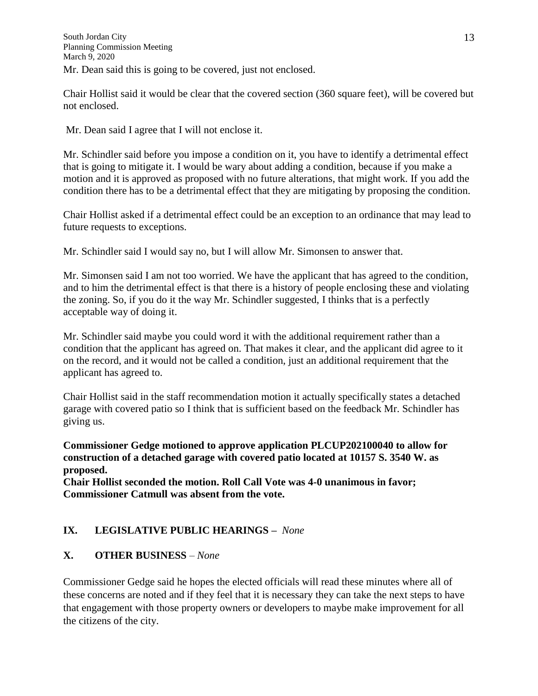Chair Hollist said it would be clear that the covered section (360 square feet), will be covered but not enclosed.

Mr. Dean said I agree that I will not enclose it.

Mr. Schindler said before you impose a condition on it, you have to identify a detrimental effect that is going to mitigate it. I would be wary about adding a condition, because if you make a motion and it is approved as proposed with no future alterations, that might work. If you add the condition there has to be a detrimental effect that they are mitigating by proposing the condition.

Chair Hollist asked if a detrimental effect could be an exception to an ordinance that may lead to future requests to exceptions.

Mr. Schindler said I would say no, but I will allow Mr. Simonsen to answer that.

Mr. Simonsen said I am not too worried. We have the applicant that has agreed to the condition, and to him the detrimental effect is that there is a history of people enclosing these and violating the zoning. So, if you do it the way Mr. Schindler suggested, I thinks that is a perfectly acceptable way of doing it.

Mr. Schindler said maybe you could word it with the additional requirement rather than a condition that the applicant has agreed on. That makes it clear, and the applicant did agree to it on the record, and it would not be called a condition, just an additional requirement that the applicant has agreed to.

Chair Hollist said in the staff recommendation motion it actually specifically states a detached garage with covered patio so I think that is sufficient based on the feedback Mr. Schindler has giving us.

**Commissioner Gedge motioned to approve application PLCUP202100040 to allow for construction of a detached garage with covered patio located at 10157 S. 3540 W. as proposed.**

**Chair Hollist seconded the motion. Roll Call Vote was 4-0 unanimous in favor; Commissioner Catmull was absent from the vote.**

# **IX. LEGISLATIVE PUBLIC HEARINGS –** *None*

## **X. OTHER BUSINESS** *– None*

Commissioner Gedge said he hopes the elected officials will read these minutes where all of these concerns are noted and if they feel that it is necessary they can take the next steps to have that engagement with those property owners or developers to maybe make improvement for all the citizens of the city.